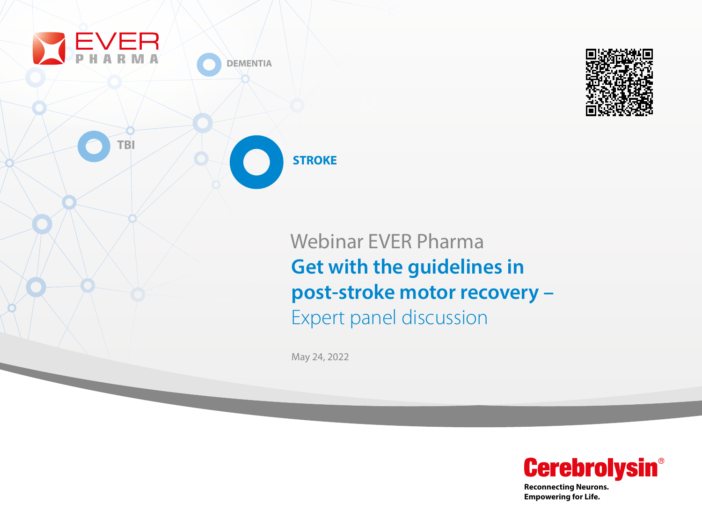



**Reconnecting Neurons. Empowering for Life.**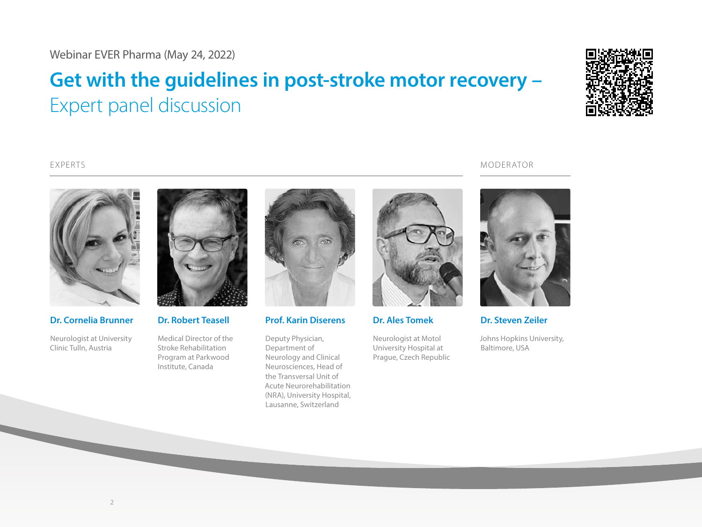# **Get with the guidelines in post-stroke motor recovery –**  Expert panel discussion



EXPERTS MODERATOR



**Dr. Cornelia Brunner**

Neurologist at University Clinic Tulln, Austria



**Dr. Robert Teasell**

Medical Director of the Stroke Rehabilitation Program at Parkwood Institute, Canada



**Prof. Karin Diserens**

Deputy Physician, Department of Neurology and Clinical Neurosciences, Head of the Transversal Unit of Acute Neurorehabilitation (NRA), University Hospital, Lausanne, Switzerland



**Dr. Ales Tomek**

Neurologist at Motol University Hospital at Prague, Czech Republic



**Dr. Steven Zeiler**

Johns Hopkins University, Baltimore, USA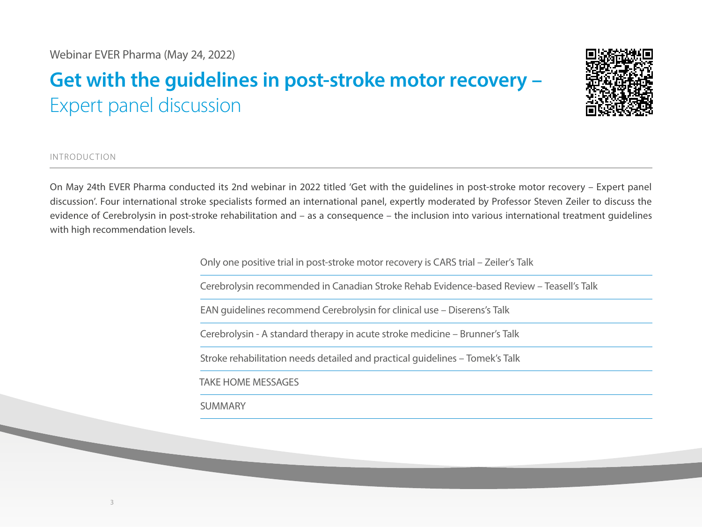## **Get with the guidelines in post-stroke motor recovery –**  Expert panel discussion



INTRODUCTION

On May 24th EVER Pharma conducted its 2nd webinar in 2022 titled 'Get with the guidelines in post-stroke motor recovery – Expert panel discussion'. Four international stroke specialists formed an international panel, expertly moderated by Professor Steven Zeiler to discuss the evidence of Cerebrolysin in post-stroke rehabilitation and – as a consequence – the inclusion into various international treatment guidelines with high recommendation levels.

Only one positive trial in post-stroke motor recovery is CARS trial – Zeiler's Talk

Cerebrolysin recommended in Canadian Stroke Rehab Evidence-based Review – Teasell's Talk

EAN guidelines recommend Cerebrolysin for clinical use – Diserens's Talk

Cerebrolysin - A standard therapy in acute stroke medicine – Brunner's Talk

Stroke rehabilitation needs detailed and practical guidelines – Tomek's Talk

TAKE HOME MESSAGES

SUMMARY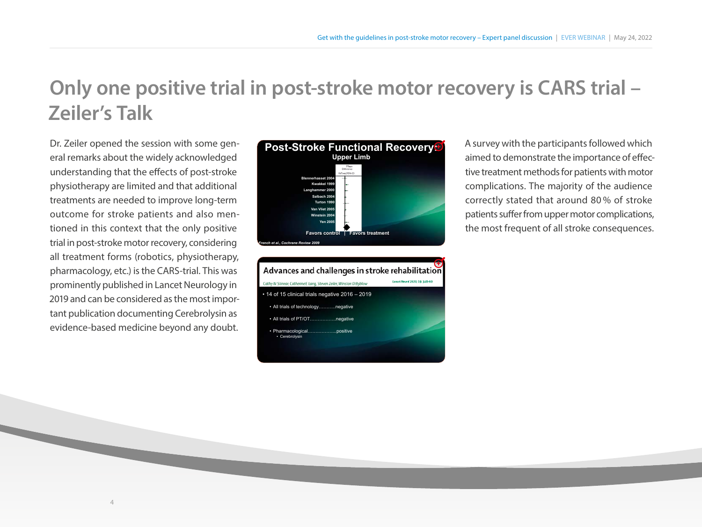## **Only one positive trial in post-stroke motor recovery is CARS trial – Zeiler's Talk**

Dr. Zeiler opened the session with some general remarks about the widely acknowledged understanding that the effects of post-stroke physiotherapy are limited and that additional treatments are needed to improve long-term outcome for stroke patients and also mentioned in this context that the only positive trial in post-stroke motor recovery, considering all treatment forms (robotics, physiotherapy, pharmacology, etc.) is the CARS-trial. This was prominently published in Lancet Neurology in 2019 and can be considered as the most important publication documenting Cerebrolysin as evidence-based medicine beyond any doubt.

4



Advances and challenges in stroke rehabilitation y M Stinear, Catherine E Lang, Steven Zeiler, Winston D Byblow • 14 of 15 clinical trials negative 2016 – 2019 • All trials of technology………..negative • All trials of PT/OT……………..negative • Pharmacological…….………...positive • Cerebrolysin

A survey with the participants followed which aimed to demonstrate the importance of effective treatment methods for patients with motor complications. The majority of the audience correctly stated that around 80 % of stroke patients suffer from upper motor complications, the most frequent of all stroke consequences.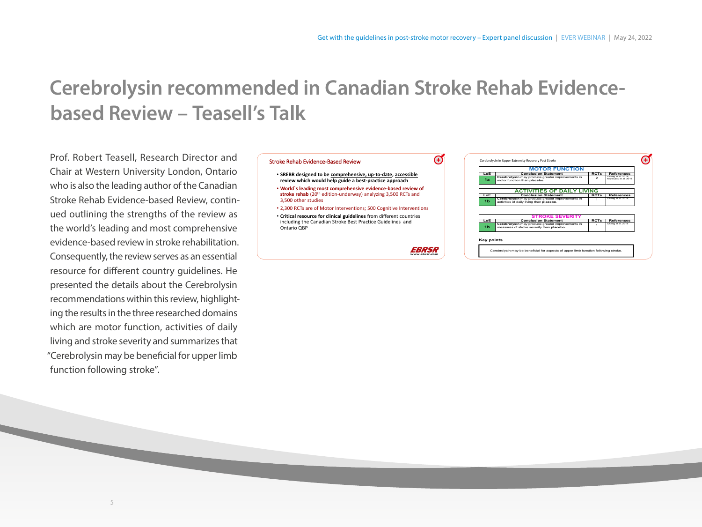## **Cerebrolysin recommended in Canadian Stroke Rehab Evidencebased Review – Teasell's Talk**

Prof. Robert Teasell, Research Director and Chair at Western University London, Ontario who is also the leading author of the Canadian Stroke Rehab Evidence-based Review, continued outlining the strengths of the review as the world's leading and most comprehensive evidence-based review in stroke rehabilitation. Consequently, the review serves as an essential resource for different country guidelines. He presented the details about the Cerebrolysin recommendations within this review, highlighting the results in the three researched domains which are motor function, activities of daily living and stroke severity and summarizes that "Cerebrolysin may be beneficial for upper limb function following stroke".

#### Stroke Rehab Evidence-Based Review

- **SREBR designed to be comprehensive, up-to-date, accessible review which would help guide a best-practice approach** • **World`s leading most comprehensive evidence-based review of**  stroke rehab (20<sup>th</sup> edition-underway) analyzing 3,500 RCTs and 3,500 other studies
- 2,300 RCTs are of Motor Interventions; 500 Cognitive Interventions
- **Critical resource for clinical guidelines** from different countries including the Canadian Stroke Best Practice Guidelines and Ontario QBP

 $\boldsymbol{\Theta}$ 

|     | <b>MOTOR FUNCTION</b>                                                                         |                |                                            |
|-----|-----------------------------------------------------------------------------------------------|----------------|--------------------------------------------|
| LoE | <b>Conclusion Statement</b>                                                                   | <b>RCTs</b>    | <b>References</b>                          |
| 1a  | Cerebrolysin may produce greater improvements in<br>motor function than placebo.              | $\overline{a}$ | Chang et al. 2016:<br>Muresanu et al. 2016 |
|     | <b>ACTIVITIES OF DAILY LIVING</b>                                                             |                |                                            |
| LoE | <b>Conclusion Statement</b>                                                                   | <b>RCTs</b>    | <b>References</b>                          |
| 1b  | Cerebrolysin may produce greater improvements in<br>activities of daily living than placebo.  |                | Chang et al. 2016                          |
|     |                                                                                               |                |                                            |
|     | <b>STROKE SEVERITY</b>                                                                        |                |                                            |
| LoE | <b>Conclusion Statement</b>                                                                   | <b>RCTs</b>    | <b>References</b>                          |
| 1b  | Cerebrolysin may produce greater improvements in<br>measures of stroke severity than placebo. |                | Chang et al. 2016                          |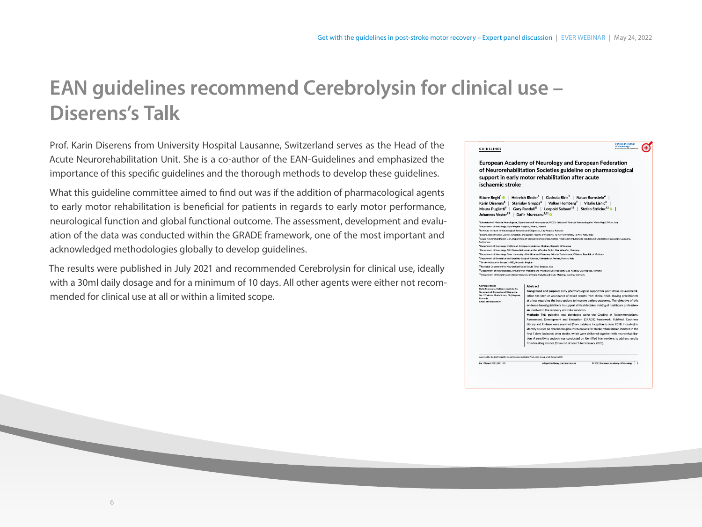## **EAN guidelines recommend Cerebrolysin for clinical use – Diserens's Talk**

Prof. Karin Diserens from University Hospital Lausanne, Switzerland serves as the Head of the Acute Neurorehabilitation Unit. She is a co-author of the EAN-Guidelines and emphasized the importance of this specific quidelines and the thorough methods to develop these quidelines.

What this guideline committee aimed to find out was if the addition of pharmacological agents to early motor rehabilitation is beneficial for patients in regards to early motor performance, neurological function and global functional outcome. The assessment, development and evaluation of the data was conducted within the GRADE framework, one of the most important and acknowledged methodologies globally to develop guidelines.

The results were published in July 2021 and recommended Cerebrolysin for clinical use, ideally with a 30ml daily dosage and for a minimum of 10 days. All other agents were either not recommended for clinical use at all or within a limited scope.

|                                                                                                                                                                                                                                                                                                                                                                                                                                                              | European Academy of Neurology and European Federation<br>of Neurorehabilitation Societies guideline on pharmacological<br>support in early motor rehabilitation after acute<br>ischaemic stroke                                                                                                                                                                                                                                                                                                                                                                                                                                                                                                                                                                                                                                                                                                                                                                                                                                                                                                                                                                                   |  |  |  |  |
|--------------------------------------------------------------------------------------------------------------------------------------------------------------------------------------------------------------------------------------------------------------------------------------------------------------------------------------------------------------------------------------------------------------------------------------------------------------|-----------------------------------------------------------------------------------------------------------------------------------------------------------------------------------------------------------------------------------------------------------------------------------------------------------------------------------------------------------------------------------------------------------------------------------------------------------------------------------------------------------------------------------------------------------------------------------------------------------------------------------------------------------------------------------------------------------------------------------------------------------------------------------------------------------------------------------------------------------------------------------------------------------------------------------------------------------------------------------------------------------------------------------------------------------------------------------------------------------------------------------------------------------------------------------|--|--|--|--|
| Ettore Beghi <sup>1</sup> •   Heinrich Binder <sup>2</sup>   Codruta Birle <sup>3</sup>   Natan Bornstein <sup>4</sup>  <br>Karin Diserens <sup>5</sup>   Stanislav Groppa <sup>6</sup>   Volker Homberg <sup>7</sup>   Vitalie Lisnic <sup>8</sup>  <br>Maura Pugliatti <sup>9</sup>   Gary Randall <sup>10</sup>   Leopold Saltuari <sup>11</sup>   Stefan Strilciuc <sup>12</sup>    <br>Johannes Vester <sup>13</sup>   Dafin Muresanu <sup>3,11</sup> © |                                                                                                                                                                                                                                                                                                                                                                                                                                                                                                                                                                                                                                                                                                                                                                                                                                                                                                                                                                                                                                                                                                                                                                                   |  |  |  |  |
| <sup>2</sup> Department of Neurology, Otto Wagner Hospital, Vienna, Austria<br><sup>2</sup> RoNeuro Institute for Neurological Research and Diagnostic, Clui-Napoca, Romania<br>Switzerland<br><sup>33</sup> Stroke Alliance for Europe (SAFE), Brussels, Belzium<br><sup>11</sup> Research Department for Neurorehabilitation South Tyrol, Bolzano, Italy                                                                                                   | 1Laboratorio di Malattie Neurologiche, Dipartimento di Neuroscienze, IRCCS-Istituto di Ricerche Farmacologiche 'Mario Negri', Milan, Italy<br><sup>4</sup> Shaare Zedek Medical Center, Jerusalem, and Sackler Faculty of Medicine, Tel Aviv University, Tel Aviv Yafo, Israel<br><sup>3</sup> Acute Neurorehabilitation Unit, Department of Clinical Neurosciences, Centre Hospitalier Universitaire Vaudois and University of Lausanne, Lausanne,<br><sup>4</sup> Department of Neurology, Institute of Emergency Medicine, Chisinau, Republic of Moldova<br><sup>7</sup> Department of Neurology, SRH Gesundheitszentrum Bad Wimpfen GmbH, Bad Wimpfen, Germany<br><sup>8</sup> Department of Neurology, State University of Medicine and Pharmacy 'Nicolae Testemitanu', Chisinau, Republic of Moldova<br><sup>9</sup> Department of Biomedical and Specialty Surgical Sciences, University of Ferrara, Ferrara, Italy<br><sup>12</sup> Department of Neurosciences, University of Medicine and Pharmacy Iuliu Hatieganu Cluj-Napoca, Cluj-Napoca, Romania                                                                                                                    |  |  |  |  |
| Correspondence<br>Dafin Muresanu, RoNeuro Institute for<br>Neurological Research and Diagnostic,<br>No. 37 Mircea Eliade Street, Clui-Napoca.<br>Romania.<br>Email: office@ssnn.ro                                                                                                                                                                                                                                                                           | <sup>12</sup> Department of Blometry and Clinical Research, idv Data Analysis and Study Planning, Gauting, Germany<br>Abstract<br>Background and purpose: Early pharmacological support for post-stroke neurorehabili-<br>tation has seen an abundance of mixed results from clinical trials, leaving practitioners<br>at a loss regarding the best options to improve patient outcomes. The objective of this<br>evidence-based guideline is to support clinical decision-making of healthcare profession-<br>als involved in the recovery of stroke survivors.<br>Methods: This guideline was developed using the Grading of Recommendations.<br>Assessment, Development and Evaluation (GRADE) framework, PubMed, Cochrane<br>Library and Embase were searched (from database inception to June 2018, inclusive) to<br>identify studies on pharmacological interventions for stroke rehabilitation initiated in the<br>first 7 days (inclusive) after stroke, which were delivered together with neurorehabilita-<br>tion. A sensitivity analysis was conducted on identified interventions to address results<br>from breaking studies (from end of search to February 2020). |  |  |  |  |
| Approved by the EAN Scientific Committee and Guideline Production Group on 28 January 2021<br>Eur J Neural, 2021;00:1-15.                                                                                                                                                                                                                                                                                                                                    | C 2021 European Academy of Neurology                                                                                                                                                                                                                                                                                                                                                                                                                                                                                                                                                                                                                                                                                                                                                                                                                                                                                                                                                                                                                                                                                                                                              |  |  |  |  |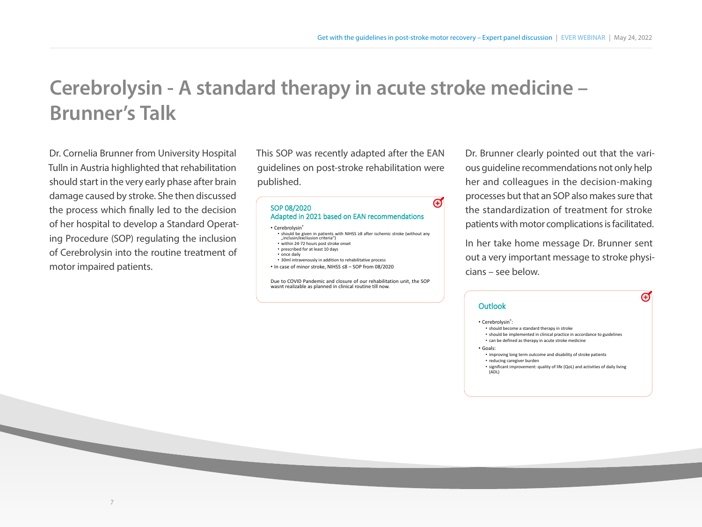## **Cerebrolysin - A standard therapy in acute stroke medicine – Brunner's Talk**

Dr. Cornelia Brunner from University Hospital Tulln in Austria highlighted that rehabilitation should start in the very early phase after brain damage caused by stroke. She then discussed the process which finally led to the decision of her hospital to develop a Standard Operating Procedure (SOP) regulating the inclusion of Cerebrolysin into the routine treatment of motor impaired patients.

This SOP was recently adapted after the EAN guidelines on post-stroke rehabilitation were published.

### SOP 08/2020 Adapted in 2021 based on EAN recommendations

#### • Cerebrolysin<sup>®</sup>

- should be given in patients with NIHSS <sup>≥</sup><sup>8</sup> after ischemic stroke (without any "inclusin/excliusion criteria")
- within 24-72 hours post stroke onset • prescribed for at least 10 days
- once daily
- 30ml intravenously in addition to rehabilitative process
- In case of minor stroke, NIHSS ≤8 SOP from 08/2020

Due to COVID Pandemic and closure of our rehabilitation unit, the SOP wasnt realizable as planned in clinical routine till now.

Dr. Brunner clearly pointed out that the various guideline recommendations not only help her and colleagues in the decision-making processes but that an SOP also makes sure that the standardization of treatment for stroke patients with motor complications is facilitated.

In her take home message Dr. Brunner sent out a very important message to stroke physicians – see below.

 $\mathbf \Theta$ 

### **Outlook**

- Cerebrolysin®:
	- should become a standard therapy in stroke
	- should be implemented in clinical practice in accordance to guidelines
	- can be defined as therapy in acute stroke medicine
- Goals:

 $\mathbf \Theta$ 

- improving long term outcome and disability of stroke patients • reducing caregiver burden
- 
- significant improvement: quality of life (QoL) and activities of daily living (ADL)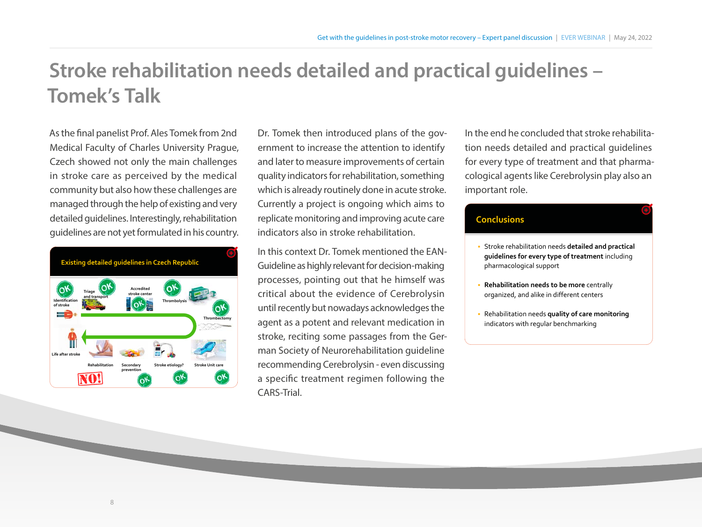## **Stroke rehabilitation needs detailed and practical guidelines – Tomek's Talk**

As the final panelist Prof. Ales Tomek from 2nd Medical Faculty of Charles University Prague, Czech showed not only the main challenges in stroke care as perceived by the medical community but also how these challenges are managed through the help of existing and very detailed guidelines. Interestingly, rehabilitation guidelines are not yet formulated in his country.



Dr. Tomek then introduced plans of the government to increase the attention to identify and later to measure improvements of certain quality indicators for rehabilitation, something which is already routinely done in acute stroke. Currently a project is ongoing which aims to replicate monitoring and improving acute care indicators also in stroke rehabilitation.

In this context Dr. Tomek mentioned the EAN-Guideline as highly relevant for decision-making processes, pointing out that he himself was critical about the evidence of Cerebrolysin until recently but nowadays acknowledges the agent as a potent and relevant medication in stroke, reciting some passages from the German Society of Neurorehabilitation guideline recommending Cerebrolysin - even discussing a specific treatment regimen following the CARS-Trial.

In the end he concluded that stroke rehabilitation needs detailed and practical guidelines for every type of treatment and that pharmacological agents like Cerebrolysin play also an important role.

### **Conclusions**

- Stroke rehabilitation needs **detailed and practical guidelines for every type of treatment** including pharmacological support
- **Rehabilitation needs to be more** centrally organized, and alike in different centers
- Rehabilitation needs **quality of care monitoring**  indicators with regular benchmarking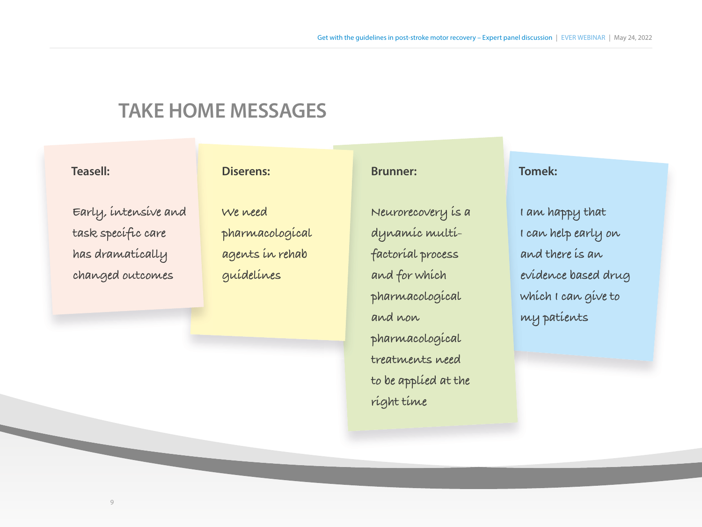### **TAKE HOME MESSAGES**

### **Teasell:**

### **Early, intensive and**  task specific care **has dramatically changed outcomes**

### **Diserens:**

**We need pharmacological agents in rehab guidelines**

### **Brunner:**

**Neurorecovery is a dynamic multifactorial process and for which pharmacological and non pharmacological treatments need to be applied at the right time**

### **Tomek:**

**I am happy that I can help early on and there is an evidence based drug which I can give to my patients**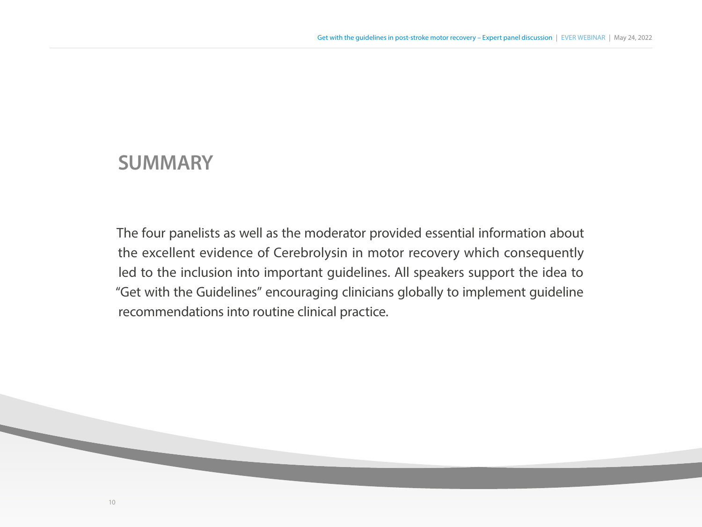### **SUMMARY**

The four panelists as well as the moderator provided essential information about the excellent evidence of Cerebrolysin in motor recovery which consequently led to the inclusion into important guidelines. All speakers support the idea to "Get with the Guidelines" encouraging clinicians globally to implement guideline recommendations into routine clinical practice.